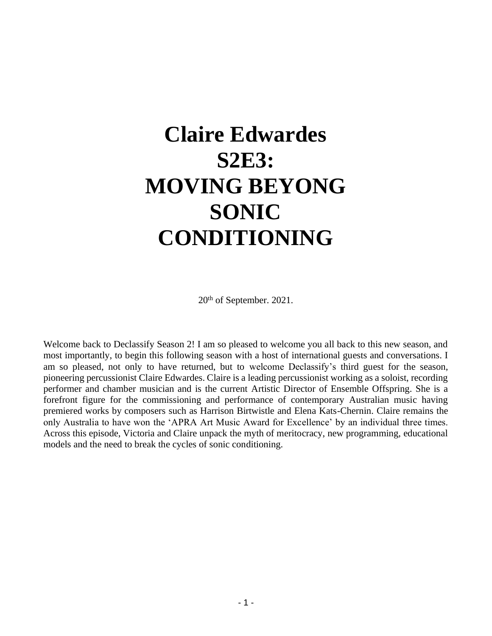# **Claire Edwardes S2E3: MOVING BEYONG SONIC CONDITIONING**

20th of September. 2021.

Welcome back to Declassify Season 2! I am so pleased to welcome you all back to this new season, and most importantly, to begin this following season with a host of international guests and conversations. I am so pleased, not only to have returned, but to welcome Declassify's third guest for the season, pioneering percussionist Claire Edwardes. Claire is a leading percussionist working as a soloist, recording performer and chamber musician and is the current Artistic Director of Ensemble Offspring. She is a forefront figure for the commissioning and performance of contemporary Australian music having premiered works by composers such as Harrison Birtwistle and Elena Kats-Chernin. Claire remains the only Australia to have won the 'APRA Art Music Award for Excellence' by an individual three times. Across this episode, Victoria and Claire unpack the myth of meritocracy, new programming, educational models and the need to break the cycles of sonic conditioning.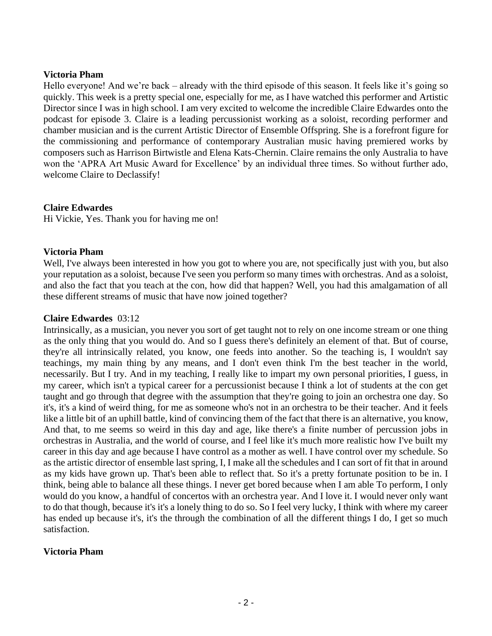#### **Victoria Pham**

Hello everyone! And we're back – already with the third episode of this season. It feels like it's going so quickly. This week is a pretty special one, especially for me, as I have watched this performer and Artistic Director since I was in high school. I am very excited to welcome the incredible Claire Edwardes onto the podcast for episode 3. Claire is a leading percussionist working as a soloist, recording performer and chamber musician and is the current Artistic Director of Ensemble Offspring. She is a forefront figure for the commissioning and performance of contemporary Australian music having premiered works by composers such as Harrison Birtwistle and Elena Kats-Chernin. Claire remains the only Australia to have won the 'APRA Art Music Award for Excellence' by an individual three times. So without further ado, welcome Claire to Declassify!

# **Claire Edwardes**

Hi Vickie, Yes. Thank you for having me on!

# **Victoria Pham**

Well, I've always been interested in how you got to where you are, not specifically just with you, but also your reputation as a soloist, because I've seen you perform so many times with orchestras. And as a soloist, and also the fact that you teach at the con, how did that happen? Well, you had this amalgamation of all these different streams of music that have now joined together?

#### **Claire Edwardes** 03:12

Intrinsically, as a musician, you never you sort of get taught not to rely on one income stream or one thing as the only thing that you would do. And so I guess there's definitely an element of that. But of course, they're all intrinsically related, you know, one feeds into another. So the teaching is, I wouldn't say teachings, my main thing by any means, and I don't even think I'm the best teacher in the world, necessarily. But I try. And in my teaching, I really like to impart my own personal priorities, I guess, in my career, which isn't a typical career for a percussionist because I think a lot of students at the con get taught and go through that degree with the assumption that they're going to join an orchestra one day. So it's, it's a kind of weird thing, for me as someone who's not in an orchestra to be their teacher. And it feels like a little bit of an uphill battle, kind of convincing them of the fact that there is an alternative, you know, And that, to me seems so weird in this day and age, like there's a finite number of percussion jobs in orchestras in Australia, and the world of course, and I feel like it's much more realistic how I've built my career in this day and age because I have control as a mother as well. I have control over my schedule. So as the artistic director of ensemble last spring, I, I make all the schedules and I can sort of fit that in around as my kids have grown up. That's been able to reflect that. So it's a pretty fortunate position to be in. I think, being able to balance all these things. I never get bored because when I am able To perform, I only would do you know, a handful of concertos with an orchestra year. And I love it. I would never only want to do that though, because it's it's a lonely thing to do so. So I feel very lucky, I think with where my career has ended up because it's, it's the through the combination of all the different things I do, I get so much satisfaction.

#### **Victoria Pham**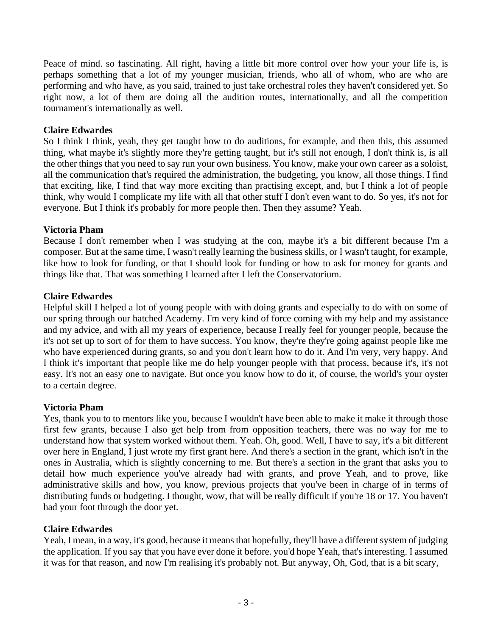Peace of mind. so fascinating. All right, having a little bit more control over how your your life is, is perhaps something that a lot of my younger musician, friends, who all of whom, who are who are performing and who have, as you said, trained to just take orchestral roles they haven't considered yet. So right now, a lot of them are doing all the audition routes, internationally, and all the competition tournament's internationally as well.

#### **Claire Edwardes**

So I think I think, yeah, they get taught how to do auditions, for example, and then this, this assumed thing, what maybe it's slightly more they're getting taught, but it's still not enough, I don't think is, is all the other things that you need to say run your own business. You know, make your own career as a soloist, all the communication that's required the administration, the budgeting, you know, all those things. I find that exciting, like, I find that way more exciting than practising except, and, but I think a lot of people think, why would I complicate my life with all that other stuff I don't even want to do. So yes, it's not for everyone. But I think it's probably for more people then. Then they assume? Yeah.

# **Victoria Pham**

Because I don't remember when I was studying at the con, maybe it's a bit different because I'm a composer. But at the same time, I wasn't really learning the business skills, or I wasn't taught, for example, like how to look for funding, or that I should look for funding or how to ask for money for grants and things like that. That was something I learned after I left the Conservatorium.

# **Claire Edwardes**

Helpful skill I helped a lot of young people with with doing grants and especially to do with on some of our spring through our hatched Academy. I'm very kind of force coming with my help and my assistance and my advice, and with all my years of experience, because I really feel for younger people, because the it's not set up to sort of for them to have success. You know, they're they're going against people like me who have experienced during grants, so and you don't learn how to do it. And I'm very, very happy. And I think it's important that people like me do help younger people with that process, because it's, it's not easy. It's not an easy one to navigate. But once you know how to do it, of course, the world's your oyster to a certain degree.

#### **Victoria Pham**

Yes, thank you to to mentors like you, because I wouldn't have been able to make it make it through those first few grants, because I also get help from from opposition teachers, there was no way for me to understand how that system worked without them. Yeah. Oh, good. Well, I have to say, it's a bit different over here in England, I just wrote my first grant here. And there's a section in the grant, which isn't in the ones in Australia, which is slightly concerning to me. But there's a section in the grant that asks you to detail how much experience you've already had with grants, and prove Yeah, and to prove, like administrative skills and how, you know, previous projects that you've been in charge of in terms of distributing funds or budgeting. I thought, wow, that will be really difficult if you're 18 or 17. You haven't had your foot through the door yet.

#### **Claire Edwardes**

Yeah, I mean, in a way, it's good, because it means that hopefully, they'll have a different system of judging the application. If you say that you have ever done it before. you'd hope Yeah, that's interesting. I assumed it was for that reason, and now I'm realising it's probably not. But anyway, Oh, God, that is a bit scary,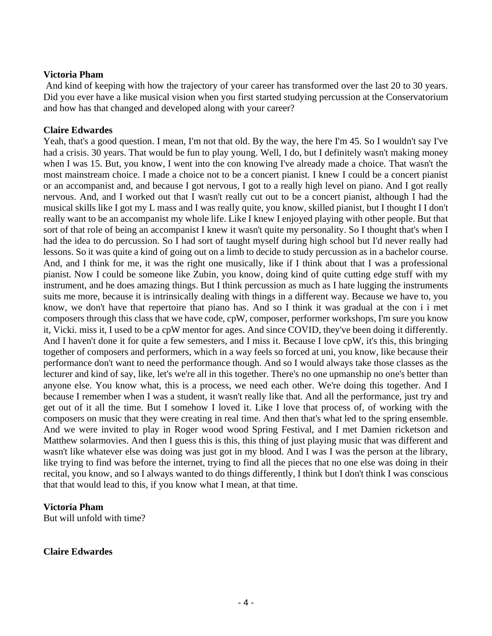#### **Victoria Pham**

And kind of keeping with how the trajectory of your career has transformed over the last 20 to 30 years. Did you ever have a like musical vision when you first started studying percussion at the Conservatorium and how has that changed and developed along with your career?

#### **Claire Edwardes**

Yeah, that's a good question. I mean, I'm not that old. By the way, the here I'm 45. So I wouldn't say I've had a crisis. 30 years. That would be fun to play young. Well, I do, but I definitely wasn't making money when I was 15. But, you know, I went into the con knowing I've already made a choice. That wasn't the most mainstream choice. I made a choice not to be a concert pianist. I knew I could be a concert pianist or an accompanist and, and because I got nervous, I got to a really high level on piano. And I got really nervous. And, and I worked out that I wasn't really cut out to be a concert pianist, although I had the musical skills like I got my L mass and I was really quite, you know, skilled pianist, but I thought I I don't really want to be an accompanist my whole life. Like I knew I enjoyed playing with other people. But that sort of that role of being an accompanist I knew it wasn't quite my personality. So I thought that's when I had the idea to do percussion. So I had sort of taught myself during high school but I'd never really had lessons. So it was quite a kind of going out on a limb to decide to study percussion as in a bachelor course. And, and I think for me, it was the right one musically, like if I think about that I was a professional pianist. Now I could be someone like Zubin, you know, doing kind of quite cutting edge stuff with my instrument, and he does amazing things. But I think percussion as much as I hate lugging the instruments suits me more, because it is intrinsically dealing with things in a different way. Because we have to, you know, we don't have that repertoire that piano has. And so I think it was gradual at the con i i met composers through this class that we have code, cpW, composer, performer workshops, I'm sure you know it, Vicki. miss it, I used to be a cpW mentor for ages. And since COVID, they've been doing it differently. And I haven't done it for quite a few semesters, and I miss it. Because I love cpW, it's this, this bringing together of composers and performers, which in a way feels so forced at uni, you know, like because their performance don't want to need the performance though. And so I would always take those classes as the lecturer and kind of say, like, let's we're all in this together. There's no one upmanship no one's better than anyone else. You know what, this is a process, we need each other. We're doing this together. And I because I remember when I was a student, it wasn't really like that. And all the performance, just try and get out of it all the time. But I somehow I loved it. Like I love that process of, of working with the composers on music that they were creating in real time. And then that's what led to the spring ensemble. And we were invited to play in Roger wood wood Spring Festival, and I met Damien ricketson and Matthew solarmovies. And then I guess this is this, this thing of just playing music that was different and wasn't like whatever else was doing was just got in my blood. And I was I was the person at the library, like trying to find was before the internet, trying to find all the pieces that no one else was doing in their recital, you know, and so I always wanted to do things differently, I think but I don't think I was conscious that that would lead to this, if you know what I mean, at that time.

#### **Victoria Pham**

But will unfold with time?

#### **Claire Edwardes**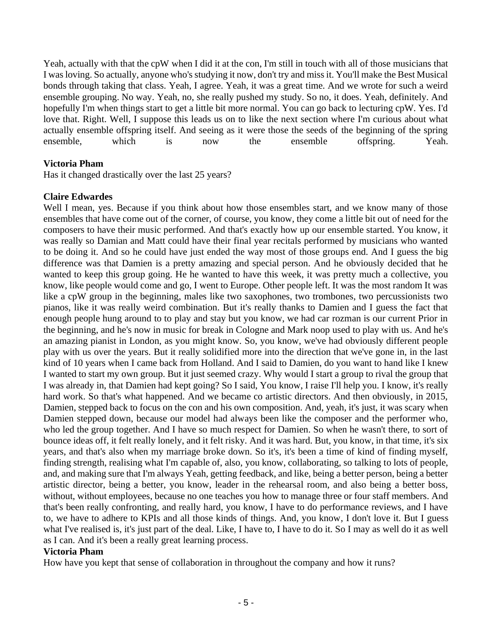Yeah, actually with that the cpW when I did it at the con, I'm still in touch with all of those musicians that I was loving. So actually, anyone who's studying it now, don't try and miss it. You'll make the Best Musical bonds through taking that class. Yeah, I agree. Yeah, it was a great time. And we wrote for such a weird ensemble grouping. No way. Yeah, no, she really pushed my study. So no, it does. Yeah, definitely. And hopefully I'm when things start to get a little bit more normal. You can go back to lecturing cpW. Yes. I'd love that. Right. Well, I suppose this leads us on to like the next section where I'm curious about what actually ensemble offspring itself. And seeing as it were those the seeds of the beginning of the spring ensemble, which is now the ensemble offspring. Yeah.

# **Victoria Pham**

Has it changed drastically over the last 25 years?

# **Claire Edwardes**

Well I mean, yes. Because if you think about how those ensembles start, and we know many of those ensembles that have come out of the corner, of course, you know, they come a little bit out of need for the composers to have their music performed. And that's exactly how up our ensemble started. You know, it was really so Damian and Matt could have their final year recitals performed by musicians who wanted to be doing it. And so he could have just ended the way most of those groups end. And I guess the big difference was that Damien is a pretty amazing and special person. And he obviously decided that he wanted to keep this group going. He he wanted to have this week, it was pretty much a collective, you know, like people would come and go, I went to Europe. Other people left. It was the most random It was like a cpW group in the beginning, males like two saxophones, two trombones, two percussionists two pianos, like it was really weird combination. But it's really thanks to Damien and I guess the fact that enough people hung around to to play and stay but you know, we had car rozman is our current Prior in the beginning, and he's now in music for break in Cologne and Mark noop used to play with us. And he's an amazing pianist in London, as you might know. So, you know, we've had obviously different people play with us over the years. But it really solidified more into the direction that we've gone in, in the last kind of 10 years when I came back from Holland. And I said to Damien, do you want to hand like I knew I wanted to start my own group. But it just seemed crazy. Why would I start a group to rival the group that I was already in, that Damien had kept going? So I said, You know, I raise I'll help you. I know, it's really hard work. So that's what happened. And we became co artistic directors. And then obviously, in 2015, Damien, stepped back to focus on the con and his own composition. And, yeah, it's just, it was scary when Damien stepped down, because our model had always been like the composer and the performer who, who led the group together. And I have so much respect for Damien. So when he wasn't there, to sort of bounce ideas off, it felt really lonely, and it felt risky. And it was hard. But, you know, in that time, it's six years, and that's also when my marriage broke down. So it's, it's been a time of kind of finding myself, finding strength, realising what I'm capable of, also, you know, collaborating, so talking to lots of people, and, and making sure that I'm always Yeah, getting feedback, and like, being a better person, being a better artistic director, being a better, you know, leader in the rehearsal room, and also being a better boss, without, without employees, because no one teaches you how to manage three or four staff members. And that's been really confronting, and really hard, you know, I have to do performance reviews, and I have to, we have to adhere to KPIs and all those kinds of things. And, you know, I don't love it. But I guess what I've realised is, it's just part of the deal. Like, I have to, I have to do it. So I may as well do it as well as I can. And it's been a really great learning process.

#### **Victoria Pham**

How have you kept that sense of collaboration in throughout the company and how it runs?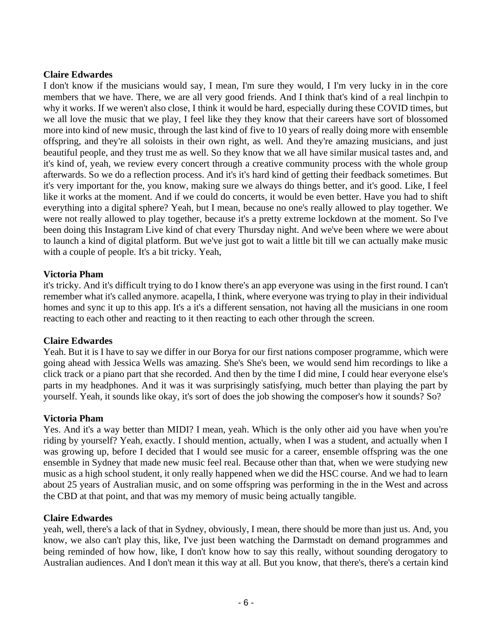# **Claire Edwardes**

I don't know if the musicians would say, I mean, I'm sure they would, I I'm very lucky in in the core members that we have. There, we are all very good friends. And I think that's kind of a real linchpin to why it works. If we weren't also close, I think it would be hard, especially during these COVID times, but we all love the music that we play, I feel like they they know that their careers have sort of blossomed more into kind of new music, through the last kind of five to 10 years of really doing more with ensemble offspring, and they're all soloists in their own right, as well. And they're amazing musicians, and just beautiful people, and they trust me as well. So they know that we all have similar musical tastes and, and it's kind of, yeah, we review every concert through a creative community process with the whole group afterwards. So we do a reflection process. And it's it's hard kind of getting their feedback sometimes. But it's very important for the, you know, making sure we always do things better, and it's good. Like, I feel like it works at the moment. And if we could do concerts, it would be even better. Have you had to shift everything into a digital sphere? Yeah, but I mean, because no one's really allowed to play together. We were not really allowed to play together, because it's a pretty extreme lockdown at the moment. So I've been doing this Instagram Live kind of chat every Thursday night. And we've been where we were about to launch a kind of digital platform. But we've just got to wait a little bit till we can actually make music with a couple of people. It's a bit tricky. Yeah,

# **Victoria Pham**

it's tricky. And it's difficult trying to do I know there's an app everyone was using in the first round. I can't remember what it's called anymore. acapella, I think, where everyone was trying to play in their individual homes and sync it up to this app. It's a it's a different sensation, not having all the musicians in one room reacting to each other and reacting to it then reacting to each other through the screen.

#### **Claire Edwardes**

Yeah. But it is I have to say we differ in our Borya for our first nations composer programme, which were going ahead with Jessica Wells was amazing. She's She's been, we would send him recordings to like a click track or a piano part that she recorded. And then by the time I did mine, I could hear everyone else's parts in my headphones. And it was it was surprisingly satisfying, much better than playing the part by yourself. Yeah, it sounds like okay, it's sort of does the job showing the composer's how it sounds? So?

#### **Victoria Pham**

Yes. And it's a way better than MIDI? I mean, yeah. Which is the only other aid you have when you're riding by yourself? Yeah, exactly. I should mention, actually, when I was a student, and actually when I was growing up, before I decided that I would see music for a career, ensemble offspring was the one ensemble in Sydney that made new music feel real. Because other than that, when we were studying new music as a high school student, it only really happened when we did the HSC course. And we had to learn about 25 years of Australian music, and on some offspring was performing in the in the West and across the CBD at that point, and that was my memory of music being actually tangible.

#### **Claire Edwardes**

yeah, well, there's a lack of that in Sydney, obviously, I mean, there should be more than just us. And, you know, we also can't play this, like, I've just been watching the Darmstadt on demand programmes and being reminded of how how, like, I don't know how to say this really, without sounding derogatory to Australian audiences. And I don't mean it this way at all. But you know, that there's, there's a certain kind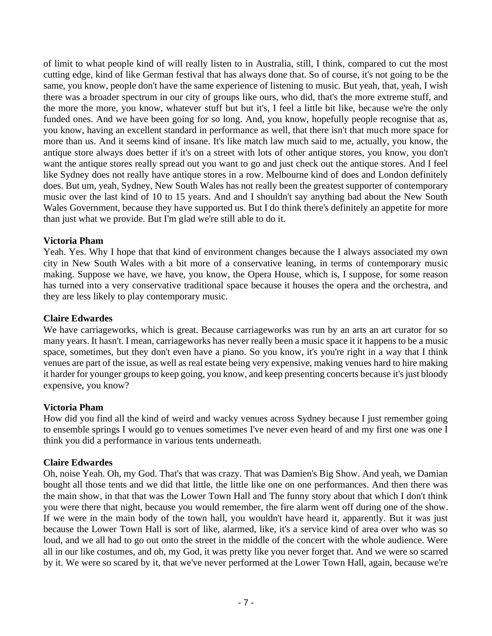of limit to what people kind of will really listen to in Australia, still, I think, compared to cut the most cutting edge, kind of like German festival that has always done that. So of course, it's not going to be the same, you know, people don't have the same experience of listening to music. But yeah, that, yeah, I wish there was a broader spectrum in our city of groups like ours, who did, that's the more extreme stuff, and the more the more, you know, whatever stuff but but it's, I feel a little bit like, because we're the only funded ones. And we have been going for so long. And, you know, hopefully people recognise that as, you know, having an excellent standard in performance as well, that there isn't that much more space for more than us. And it seems kind of insane. It's like match law much said to me, actually, you know, the antique store always does better if it's on a street with lots of other antique stores, you know, you don't want the antique stores really spread out you want to go and just check out the antique stores. And I feel like Sydney does not really have antique stores in a row. Melbourne kind of does and London definitely does. But um, yeah, Sydney, New South Wales has not really been the greatest supporter of contemporary music over the last kind of 10 to 15 years. And and I shouldn't say anything bad about the New South Wales Government, because they have supported us. But I do think there's definitely an appetite for more than just what we provide. But I'm glad we're still able to do it.

# **Victoria Pham**

Yeah. Yes. Why I hope that that kind of environment changes because the I always associated my own city in New South Wales with a bit more of a conservative leaning, in terms of contemporary music making. Suppose we have, we have, you know, the Opera House, which is, I suppose, for some reason has turned into a very conservative traditional space because it houses the opera and the orchestra, and they are less likely to play contemporary music.

#### **Claire Edwardes**

We have carriageworks, which is great. Because carriageworks was run by an arts an art curator for so many years. It hasn't. I mean, carriageworks has never really been a music space it it happens to be a music space, sometimes, but they don't even have a piano. So you know, it's you're right in a way that I think venues are part of the issue, as well as real estate being very expensive, making venues hard to hire making it harder for younger groups to keep going, you know, and keep presenting concerts because it's just bloody expensive, you know?

#### **Victoria Pham**

How did you find all the kind of weird and wacky venues across Sydney because I just remember going to ensemble springs I would go to venues sometimes I've never even heard of and my first one was one I think you did a performance in various tents underneath.

#### **Claire Edwardes**

Oh, noise Yeah. Oh, my God. That's that was crazy. That was Damien's Big Show. And yeah, we Damian bought all those tents and we did that little, the little like one on one performances. And then there was the main show, in that that was the Lower Town Hall and The funny story about that which I don't think you were there that night, because you would remember, the fire alarm went off during one of the show. If we were in the main body of the town hall, you wouldn't have heard it, apparently. But it was just because the Lower Town Hall is sort of like, alarmed, like, it's a service kind of area over who was so loud, and we all had to go out onto the street in the middle of the concert with the whole audience. Were all in our like costumes, and oh, my God, it was pretty like you never forget that. And we were so scarred by it. We were so scared by it, that we've never performed at the Lower Town Hall, again, because we're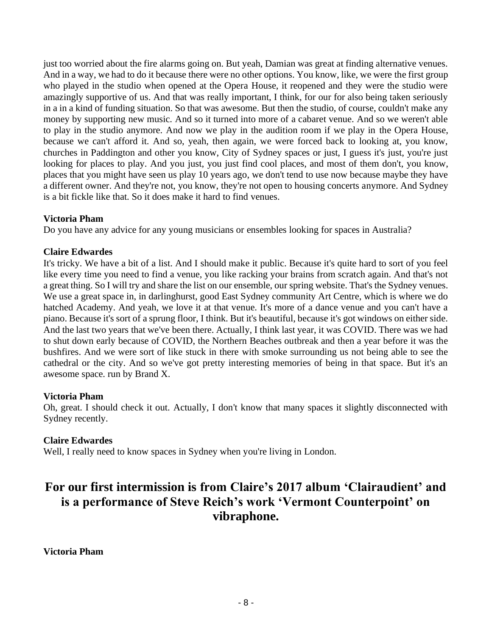just too worried about the fire alarms going on. But yeah, Damian was great at finding alternative venues. And in a way, we had to do it because there were no other options. You know, like, we were the first group who played in the studio when opened at the Opera House, it reopened and they were the studio were amazingly supportive of us. And that was really important, I think, for our for also being taken seriously in a in a kind of funding situation. So that was awesome. But then the studio, of course, couldn't make any money by supporting new music. And so it turned into more of a cabaret venue. And so we weren't able to play in the studio anymore. And now we play in the audition room if we play in the Opera House, because we can't afford it. And so, yeah, then again, we were forced back to looking at, you know, churches in Paddington and other you know, City of Sydney spaces or just, I guess it's just, you're just looking for places to play. And you just, you just find cool places, and most of them don't, you know, places that you might have seen us play 10 years ago, we don't tend to use now because maybe they have a different owner. And they're not, you know, they're not open to housing concerts anymore. And Sydney is a bit fickle like that. So it does make it hard to find venues.

# **Victoria Pham**

Do you have any advice for any young musicians or ensembles looking for spaces in Australia?

# **Claire Edwardes**

It's tricky. We have a bit of a list. And I should make it public. Because it's quite hard to sort of you feel like every time you need to find a venue, you like racking your brains from scratch again. And that's not a great thing. So I will try and share the list on our ensemble, our spring website. That's the Sydney venues. We use a great space in, in darlinghurst, good East Sydney community Art Centre, which is where we do hatched Academy. And yeah, we love it at that venue. It's more of a dance venue and you can't have a piano. Because it's sort of a sprung floor, I think. But it's beautiful, because it's got windows on either side. And the last two years that we've been there. Actually, I think last year, it was COVID. There was we had to shut down early because of COVID, the Northern Beaches outbreak and then a year before it was the bushfires. And we were sort of like stuck in there with smoke surrounding us not being able to see the cathedral or the city. And so we've got pretty interesting memories of being in that space. But it's an awesome space. run by Brand X.

#### **Victoria Pham**

Oh, great. I should check it out. Actually, I don't know that many spaces it slightly disconnected with Sydney recently.

#### **Claire Edwardes**

Well, I really need to know spaces in Sydney when you're living in London.

# **For our first intermission is from Claire's 2017 album 'Clairaudient' and is a performance of Steve Reich's work 'Vermont Counterpoint' on vibraphone.**

**Victoria Pham**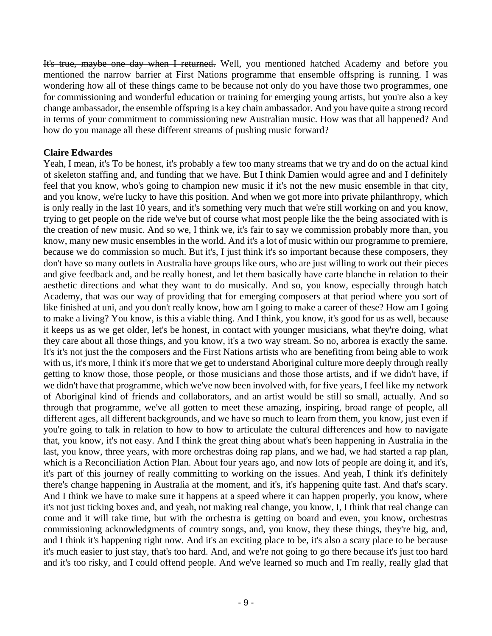It's true, maybe one day when I returned. Well, you mentioned hatched Academy and before you mentioned the narrow barrier at First Nations programme that ensemble offspring is running. I was wondering how all of these things came to be because not only do you have those two programmes, one for commissioning and wonderful education or training for emerging young artists, but you're also a key change ambassador, the ensemble offspring is a key chain ambassador. And you have quite a strong record in terms of your commitment to commissioning new Australian music. How was that all happened? And how do you manage all these different streams of pushing music forward?

# **Claire Edwardes**

Yeah, I mean, it's To be honest, it's probably a few too many streams that we try and do on the actual kind of skeleton staffing and, and funding that we have. But I think Damien would agree and and I definitely feel that you know, who's going to champion new music if it's not the new music ensemble in that city, and you know, we're lucky to have this position. And when we got more into private philanthropy, which is only really in the last 10 years, and it's something very much that we're still working on and you know, trying to get people on the ride we've but of course what most people like the the being associated with is the creation of new music. And so we, I think we, it's fair to say we commission probably more than, you know, many new music ensembles in the world. And it's a lot of music within our programme to premiere, because we do commission so much. But it's, I just think it's so important because these composers, they don't have so many outlets in Australia have groups like ours, who are just willing to work out their pieces and give feedback and, and be really honest, and let them basically have carte blanche in relation to their aesthetic directions and what they want to do musically. And so, you know, especially through hatch Academy, that was our way of providing that for emerging composers at that period where you sort of like finished at uni, and you don't really know, how am I going to make a career of these? How am I going to make a living? You know, is this a viable thing. And I think, you know, it's good for us as well, because it keeps us as we get older, let's be honest, in contact with younger musicians, what they're doing, what they care about all those things, and you know, it's a two way stream. So no, arborea is exactly the same. It's it's not just the the composers and the First Nations artists who are benefiting from being able to work with us, it's more, I think it's more that we get to understand Aboriginal culture more deeply through really getting to know those, those people, or those musicians and those those artists, and if we didn't have, if we didn't have that programme, which we've now been involved with, for five years, I feel like my network of Aboriginal kind of friends and collaborators, and an artist would be still so small, actually. And so through that programme, we've all gotten to meet these amazing, inspiring, broad range of people, all different ages, all different backgrounds, and we have so much to learn from them, you know, just even if you're going to talk in relation to how to how to articulate the cultural differences and how to navigate that, you know, it's not easy. And I think the great thing about what's been happening in Australia in the last, you know, three years, with more orchestras doing rap plans, and we had, we had started a rap plan, which is a Reconciliation Action Plan. About four years ago, and now lots of people are doing it, and it's, it's part of this journey of really committing to working on the issues. And yeah, I think it's definitely there's change happening in Australia at the moment, and it's, it's happening quite fast. And that's scary. And I think we have to make sure it happens at a speed where it can happen properly, you know, where it's not just ticking boxes and, and yeah, not making real change, you know, I, I think that real change can come and it will take time, but with the orchestra is getting on board and even, you know, orchestras commissioning acknowledgments of country songs, and, you know, they these things, they're big, and, and I think it's happening right now. And it's an exciting place to be, it's also a scary place to be because it's much easier to just stay, that's too hard. And, and we're not going to go there because it's just too hard and it's too risky, and I could offend people. And we've learned so much and I'm really, really glad that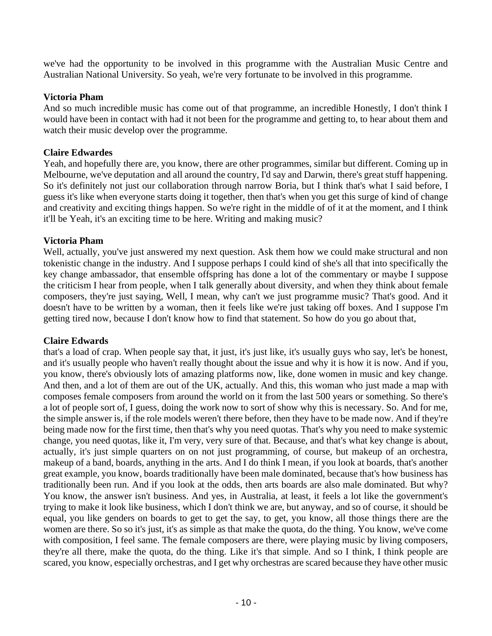we've had the opportunity to be involved in this programme with the Australian Music Centre and Australian National University. So yeah, we're very fortunate to be involved in this programme.

# **Victoria Pham**

And so much incredible music has come out of that programme, an incredible Honestly, I don't think I would have been in contact with had it not been for the programme and getting to, to hear about them and watch their music develop over the programme.

# **Claire Edwardes**

Yeah, and hopefully there are, you know, there are other programmes, similar but different. Coming up in Melbourne, we've deputation and all around the country, I'd say and Darwin, there's great stuff happening. So it's definitely not just our collaboration through narrow Boria, but I think that's what I said before, I guess it's like when everyone starts doing it together, then that's when you get this surge of kind of change and creativity and exciting things happen. So we're right in the middle of of it at the moment, and I think it'll be Yeah, it's an exciting time to be here. Writing and making music?

# **Victoria Pham**

Well, actually, you've just answered my next question. Ask them how we could make structural and non tokenistic change in the industry. And I suppose perhaps I could kind of she's all that into specifically the key change ambassador, that ensemble offspring has done a lot of the commentary or maybe I suppose the criticism I hear from people, when I talk generally about diversity, and when they think about female composers, they're just saying, Well, I mean, why can't we just programme music? That's good. And it doesn't have to be written by a woman, then it feels like we're just taking off boxes. And I suppose I'm getting tired now, because I don't know how to find that statement. So how do you go about that,

#### **Claire Edwards**

that's a load of crap. When people say that, it just, it's just like, it's usually guys who say, let's be honest, and it's usually people who haven't really thought about the issue and why it is how it is now. And if you, you know, there's obviously lots of amazing platforms now, like, done women in music and key change. And then, and a lot of them are out of the UK, actually. And this, this woman who just made a map with composes female composers from around the world on it from the last 500 years or something. So there's a lot of people sort of, I guess, doing the work now to sort of show why this is necessary. So. And for me, the simple answer is, if the role models weren't there before, then they have to be made now. And if they're being made now for the first time, then that's why you need quotas. That's why you need to make systemic change, you need quotas, like it, I'm very, very sure of that. Because, and that's what key change is about, actually, it's just simple quarters on on not just programming, of course, but makeup of an orchestra, makeup of a band, boards, anything in the arts. And I do think I mean, if you look at boards, that's another great example, you know, boards traditionally have been male dominated, because that's how business has traditionally been run. And if you look at the odds, then arts boards are also male dominated. But why? You know, the answer isn't business. And yes, in Australia, at least, it feels a lot like the government's trying to make it look like business, which I don't think we are, but anyway, and so of course, it should be equal, you like genders on boards to get to get the say, to get, you know, all those things there are the women are there. So so it's just, it's as simple as that make the quota, do the thing. You know, we've come with composition, I feel same. The female composers are there, were playing music by living composers, they're all there, make the quota, do the thing. Like it's that simple. And so I think, I think people are scared, you know, especially orchestras, and I get why orchestras are scared because they have other music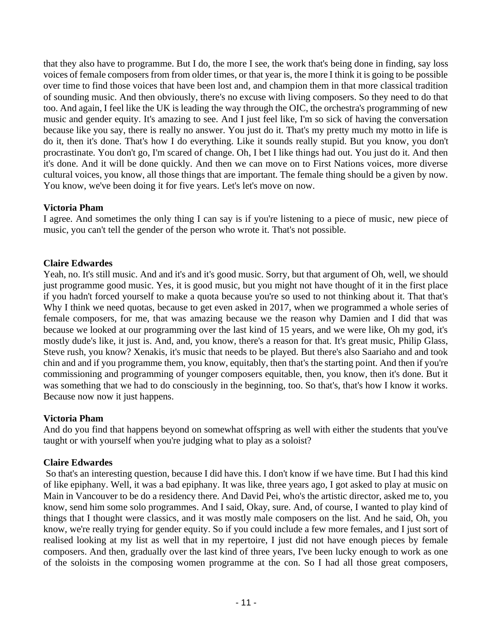that they also have to programme. But I do, the more I see, the work that's being done in finding, say loss voices of female composers from from older times, or that year is, the more I think it is going to be possible over time to find those voices that have been lost and, and champion them in that more classical tradition of sounding music. And then obviously, there's no excuse with living composers. So they need to do that too. And again, I feel like the UK is leading the way through the OIC, the orchestra's programming of new music and gender equity. It's amazing to see. And I just feel like, I'm so sick of having the conversation because like you say, there is really no answer. You just do it. That's my pretty much my motto in life is do it, then it's done. That's how I do everything. Like it sounds really stupid. But you know, you don't procrastinate. You don't go, I'm scared of change. Oh, I bet I like things had out. You just do it. And then it's done. And it will be done quickly. And then we can move on to First Nations voices, more diverse cultural voices, you know, all those things that are important. The female thing should be a given by now. You know, we've been doing it for five years. Let's let's move on now.

# **Victoria Pham**

I agree. And sometimes the only thing I can say is if you're listening to a piece of music, new piece of music, you can't tell the gender of the person who wrote it. That's not possible.

# **Claire Edwardes**

Yeah, no. It's still music. And and it's and it's good music. Sorry, but that argument of Oh, well, we should just programme good music. Yes, it is good music, but you might not have thought of it in the first place if you hadn't forced yourself to make a quota because you're so used to not thinking about it. That that's Why I think we need quotas, because to get even asked in 2017, when we programmed a whole series of female composers, for me, that was amazing because we the reason why Damien and I did that was because we looked at our programming over the last kind of 15 years, and we were like, Oh my god, it's mostly dude's like, it just is. And, and, you know, there's a reason for that. It's great music, Philip Glass, Steve rush, you know? Xenakis, it's music that needs to be played. But there's also Saariaho and and took chin and and if you programme them, you know, equitably, then that's the starting point. And then if you're commissioning and programming of younger composers equitable, then, you know, then it's done. But it was something that we had to do consciously in the beginning, too. So that's, that's how I know it works. Because now now it just happens.

# **Victoria Pham**

And do you find that happens beyond on somewhat offspring as well with either the students that you've taught or with yourself when you're judging what to play as a soloist?

# **Claire Edwardes**

So that's an interesting question, because I did have this. I don't know if we have time. But I had this kind of like epiphany. Well, it was a bad epiphany. It was like, three years ago, I got asked to play at music on Main in Vancouver to be do a residency there. And David Pei, who's the artistic director, asked me to, you know, send him some solo programmes. And I said, Okay, sure. And, of course, I wanted to play kind of things that I thought were classics, and it was mostly male composers on the list. And he said, Oh, you know, we're really trying for gender equity. So if you could include a few more females, and I just sort of realised looking at my list as well that in my repertoire, I just did not have enough pieces by female composers. And then, gradually over the last kind of three years, I've been lucky enough to work as one of the soloists in the composing women programme at the con. So I had all those great composers,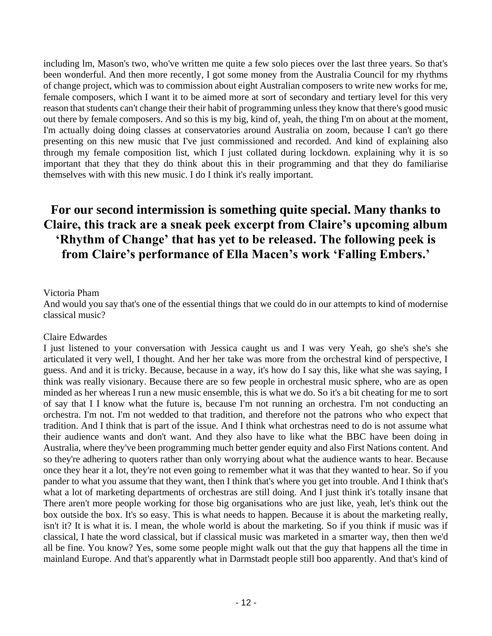including lm, Mason's two, who've written me quite a few solo pieces over the last three years. So that's been wonderful. And then more recently, I got some money from the Australia Council for my rhythms of change project, which was to commission about eight Australian composers to write new works for me, female composers, which I want it to be aimed more at sort of secondary and tertiary level for this very reason that students can't change their their habit of programming unless they know that there's good music out there by female composers. And so this is my big, kind of, yeah, the thing I'm on about at the moment, I'm actually doing doing classes at conservatories around Australia on zoom, because I can't go there presenting on this new music that I've just commissioned and recorded. And kind of explaining also through my female composition list, which I just collated during lockdown. explaining why it is so important that they that they do think about this in their programming and that they do familiarise themselves with with this new music. I do I think it's really important.

# **For our second intermission is something quite special. Many thanks to Claire, this track are a sneak peek excerpt from Claire's upcoming album 'Rhythm of Change' that has yet to be released. The following peek is from Claire's performance of Ella Macen's work 'Falling Embers.'**

#### Victoria Pham

And would you say that's one of the essential things that we could do in our attempts to kind of modernise classical music?

#### Claire Edwardes

I just listened to your conversation with Jessica caught us and I was very Yeah, go she's she's she articulated it very well, I thought. And her her take was more from the orchestral kind of perspective, I guess. And and it is tricky. Because, because in a way, it's how do I say this, like what she was saying, I think was really visionary. Because there are so few people in orchestral music sphere, who are as open minded as her whereas I run a new music ensemble, this is what we do. So it's a bit cheating for me to sort of say that I I know what the future is, because I'm not running an orchestra. I'm not conducting an orchestra. I'm not. I'm not wedded to that tradition, and therefore not the patrons who who expect that tradition. And I think that is part of the issue. And I think what orchestras need to do is not assume what their audience wants and don't want. And they also have to like what the BBC have been doing in Australia, where they've been programming much better gender equity and also First Nations content. And so they're adhering to quoters rather than only worrying about what the audience wants to hear. Because once they hear it a lot, they're not even going to remember what it was that they wanted to hear. So if you pander to what you assume that they want, then I think that's where you get into trouble. And I think that's what a lot of marketing departments of orchestras are still doing. And I just think it's totally insane that There aren't more people working for those big organisations who are just like, yeah, let's think out the box outside the box. It's so easy. This is what needs to happen. Because it is about the marketing really, isn't it? It is what it is. I mean, the whole world is about the marketing. So if you think if music was if classical, I hate the word classical, but if classical music was marketed in a smarter way, then then we'd all be fine. You know? Yes, some some people might walk out that the guy that happens all the time in mainland Europe. And that's apparently what in Darmstadt people still boo apparently. And that's kind of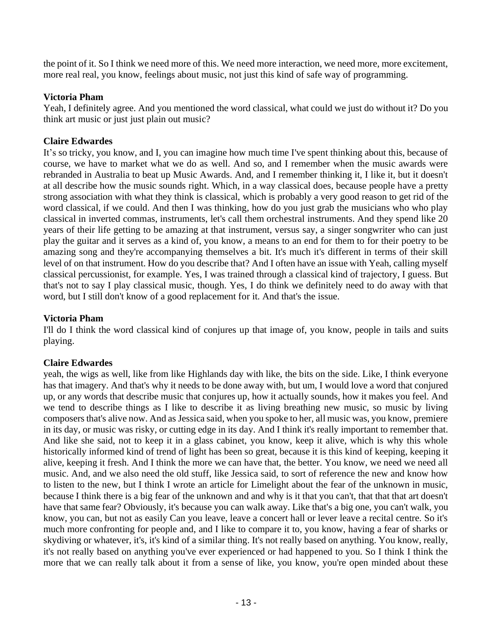the point of it. So I think we need more of this. We need more interaction, we need more, more excitement, more real real, you know, feelings about music, not just this kind of safe way of programming.

# **Victoria Pham**

Yeah, I definitely agree. And you mentioned the word classical, what could we just do without it? Do you think art music or just just plain out music?

# **Claire Edwardes**

It's so tricky, you know, and I, you can imagine how much time I've spent thinking about this, because of course, we have to market what we do as well. And so, and I remember when the music awards were rebranded in Australia to beat up Music Awards. And, and I remember thinking it, I like it, but it doesn't at all describe how the music sounds right. Which, in a way classical does, because people have a pretty strong association with what they think is classical, which is probably a very good reason to get rid of the word classical, if we could. And then I was thinking, how do you just grab the musicians who who play classical in inverted commas, instruments, let's call them orchestral instruments. And they spend like 20 years of their life getting to be amazing at that instrument, versus say, a singer songwriter who can just play the guitar and it serves as a kind of, you know, a means to an end for them to for their poetry to be amazing song and they're accompanying themselves a bit. It's much it's different in terms of their skill level of on that instrument. How do you describe that? And I often have an issue with Yeah, calling myself classical percussionist, for example. Yes, I was trained through a classical kind of trajectory, I guess. But that's not to say I play classical music, though. Yes, I do think we definitely need to do away with that word, but I still don't know of a good replacement for it. And that's the issue.

# **Victoria Pham**

I'll do I think the word classical kind of conjures up that image of, you know, people in tails and suits playing.

# **Claire Edwardes**

yeah, the wigs as well, like from like Highlands day with like, the bits on the side. Like, I think everyone has that imagery. And that's why it needs to be done away with, but um, I would love a word that conjured up, or any words that describe music that conjures up, how it actually sounds, how it makes you feel. And we tend to describe things as I like to describe it as living breathing new music, so music by living composers that's alive now. And as Jessica said, when you spoke to her, all music was, you know, premiere in its day, or music was risky, or cutting edge in its day. And I think it's really important to remember that. And like she said, not to keep it in a glass cabinet, you know, keep it alive, which is why this whole historically informed kind of trend of light has been so great, because it is this kind of keeping, keeping it alive, keeping it fresh. And I think the more we can have that, the better. You know, we need we need all music. And, and we also need the old stuff, like Jessica said, to sort of reference the new and know how to listen to the new, but I think I wrote an article for Limelight about the fear of the unknown in music, because I think there is a big fear of the unknown and and why is it that you can't, that that that art doesn't have that same fear? Obviously, it's because you can walk away. Like that's a big one, you can't walk, you know, you can, but not as easily Can you leave, leave a concert hall or lever leave a recital centre. So it's much more confronting for people and, and I like to compare it to, you know, having a fear of sharks or skydiving or whatever, it's, it's kind of a similar thing. It's not really based on anything. You know, really, it's not really based on anything you've ever experienced or had happened to you. So I think I think the more that we can really talk about it from a sense of like, you know, you're open minded about these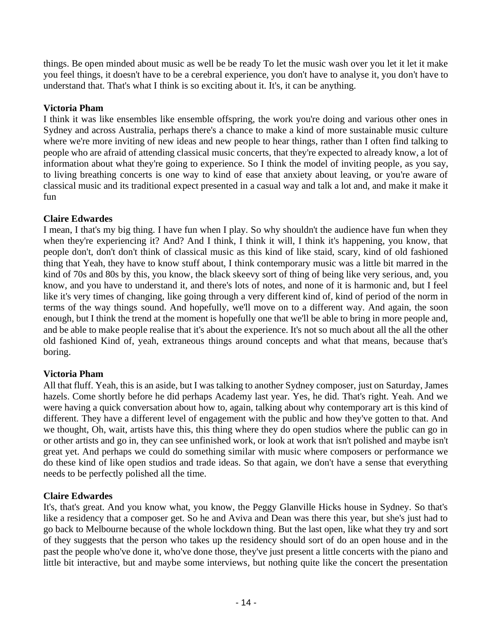things. Be open minded about music as well be be ready To let the music wash over you let it let it make you feel things, it doesn't have to be a cerebral experience, you don't have to analyse it, you don't have to understand that. That's what I think is so exciting about it. It's, it can be anything.

# **Victoria Pham**

I think it was like ensembles like ensemble offspring, the work you're doing and various other ones in Sydney and across Australia, perhaps there's a chance to make a kind of more sustainable music culture where we're more inviting of new ideas and new people to hear things, rather than I often find talking to people who are afraid of attending classical music concerts, that they're expected to already know, a lot of information about what they're going to experience. So I think the model of inviting people, as you say, to living breathing concerts is one way to kind of ease that anxiety about leaving, or you're aware of classical music and its traditional expect presented in a casual way and talk a lot and, and make it make it fun

# **Claire Edwardes**

I mean, I that's my big thing. I have fun when I play. So why shouldn't the audience have fun when they when they're experiencing it? And? And I think, I think it will, I think it's happening, you know, that people don't, don't don't think of classical music as this kind of like staid, scary, kind of old fashioned thing that Yeah, they have to know stuff about, I think contemporary music was a little bit marred in the kind of 70s and 80s by this, you know, the black skeevy sort of thing of being like very serious, and, you know, and you have to understand it, and there's lots of notes, and none of it is harmonic and, but I feel like it's very times of changing, like going through a very different kind of, kind of period of the norm in terms of the way things sound. And hopefully, we'll move on to a different way. And again, the soon enough, but I think the trend at the moment is hopefully one that we'll be able to bring in more people and, and be able to make people realise that it's about the experience. It's not so much about all the all the other old fashioned Kind of, yeah, extraneous things around concepts and what that means, because that's boring.

# **Victoria Pham**

All that fluff. Yeah, this is an aside, but I was talking to another Sydney composer, just on Saturday, James hazels. Come shortly before he did perhaps Academy last year. Yes, he did. That's right. Yeah. And we were having a quick conversation about how to, again, talking about why contemporary art is this kind of different. They have a different level of engagement with the public and how they've gotten to that. And we thought, Oh, wait, artists have this, this thing where they do open studios where the public can go in or other artists and go in, they can see unfinished work, or look at work that isn't polished and maybe isn't great yet. And perhaps we could do something similar with music where composers or performance we do these kind of like open studios and trade ideas. So that again, we don't have a sense that everything needs to be perfectly polished all the time.

# **Claire Edwardes**

It's, that's great. And you know what, you know, the Peggy Glanville Hicks house in Sydney. So that's like a residency that a composer get. So he and Aviva and Dean was there this year, but she's just had to go back to Melbourne because of the whole lockdown thing. But the last open, like what they try and sort of they suggests that the person who takes up the residency should sort of do an open house and in the past the people who've done it, who've done those, they've just present a little concerts with the piano and little bit interactive, but and maybe some interviews, but nothing quite like the concert the presentation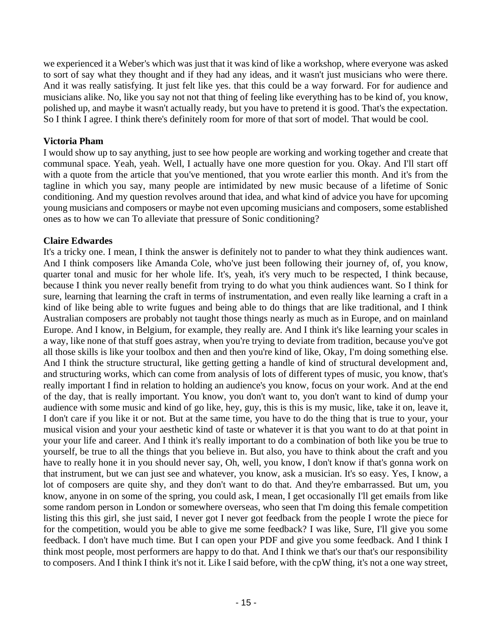we experienced it a Weber's which was just that it was kind of like a workshop, where everyone was asked to sort of say what they thought and if they had any ideas, and it wasn't just musicians who were there. And it was really satisfying. It just felt like yes. that this could be a way forward. For for audience and musicians alike. No, like you say not not that thing of feeling like everything has to be kind of, you know, polished up, and maybe it wasn't actually ready, but you have to pretend it is good. That's the expectation. So I think I agree. I think there's definitely room for more of that sort of model. That would be cool.

# **Victoria Pham**

I would show up to say anything, just to see how people are working and working together and create that communal space. Yeah, yeah. Well, I actually have one more question for you. Okay. And I'll start off with a quote from the article that you've mentioned, that you wrote earlier this month. And it's from the tagline in which you say, many people are intimidated by new music because of a lifetime of Sonic conditioning. And my question revolves around that idea, and what kind of advice you have for upcoming young musicians and composers or maybe not even upcoming musicians and composers, some established ones as to how we can To alleviate that pressure of Sonic conditioning?

# **Claire Edwardes**

It's a tricky one. I mean, I think the answer is definitely not to pander to what they think audiences want. And I think composers like Amanda Cole, who've just been following their journey of, of, you know, quarter tonal and music for her whole life. It's, yeah, it's very much to be respected, I think because, because I think you never really benefit from trying to do what you think audiences want. So I think for sure, learning that learning the craft in terms of instrumentation, and even really like learning a craft in a kind of like being able to write fugues and being able to do things that are like traditional, and I think Australian composers are probably not taught those things nearly as much as in Europe, and on mainland Europe. And I know, in Belgium, for example, they really are. And I think it's like learning your scales in a way, like none of that stuff goes astray, when you're trying to deviate from tradition, because you've got all those skills is like your toolbox and then and then you're kind of like, Okay, I'm doing something else. And I think the structure structural, like getting getting a handle of kind of structural development and, and structuring works, which can come from analysis of lots of different types of music, you know, that's really important I find in relation to holding an audience's you know, focus on your work. And at the end of the day, that is really important. You know, you don't want to, you don't want to kind of dump your audience with some music and kind of go like, hey, guy, this is this is my music, like, take it on, leave it, I don't care if you like it or not. But at the same time, you have to do the thing that is true to your, your musical vision and your your aesthetic kind of taste or whatever it is that you want to do at that point in your your life and career. And I think it's really important to do a combination of both like you be true to yourself, be true to all the things that you believe in. But also, you have to think about the craft and you have to really hone it in you should never say, Oh, well, you know, I don't know if that's gonna work on that instrument, but we can just see and whatever, you know, ask a musician. It's so easy. Yes, I know, a lot of composers are quite shy, and they don't want to do that. And they're embarrassed. But um, you know, anyone in on some of the spring, you could ask, I mean, I get occasionally I'll get emails from like some random person in London or somewhere overseas, who seen that I'm doing this female competition listing this this girl, she just said, I never got I never got feedback from the people I wrote the piece for for the competition, would you be able to give me some feedback? I was like, Sure, I'll give you some feedback. I don't have much time. But I can open your PDF and give you some feedback. And I think I think most people, most performers are happy to do that. And I think we that's our that's our responsibility to composers. And I think I think it's not it. Like I said before, with the cpW thing, it's not a one way street,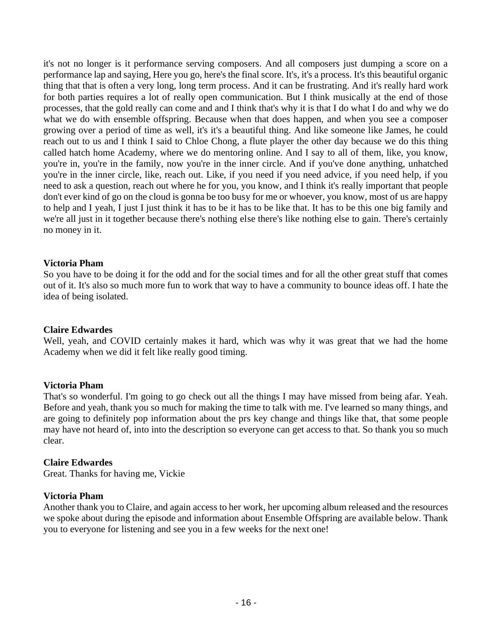it's not no longer is it performance serving composers. And all composers just dumping a score on a performance lap and saying, Here you go, here's the final score. It's, it's a process. It's this beautiful organic thing that that is often a very long, long term process. And it can be frustrating. And it's really hard work for both parties requires a lot of really open communication. But I think musically at the end of those processes, that the gold really can come and and I think that's why it is that I do what I do and why we do what we do with ensemble offspring. Because when that does happen, and when you see a composer growing over a period of time as well, it's it's a beautiful thing. And like someone like James, he could reach out to us and I think I said to Chloe Chong, a flute player the other day because we do this thing called hatch home Academy, where we do mentoring online. And I say to all of them, like, you know, you're in, you're in the family, now you're in the inner circle. And if you've done anything, unhatched you're in the inner circle, like, reach out. Like, if you need if you need advice, if you need help, if you need to ask a question, reach out where he for you, you know, and I think it's really important that people don't ever kind of go on the cloud is gonna be too busy for me or whoever, you know, most of us are happy to help and I yeah, I just I just think it has to be it has to be like that. It has to be this one big family and we're all just in it together because there's nothing else there's like nothing else to gain. There's certainly no money in it.

#### **Victoria Pham**

So you have to be doing it for the odd and for the social times and for all the other great stuff that comes out of it. It's also so much more fun to work that way to have a community to bounce ideas off. I hate the idea of being isolated.

#### **Claire Edwardes**

Well, yeah, and COVID certainly makes it hard, which was why it was great that we had the home Academy when we did it felt like really good timing.

#### **Victoria Pham**

That's so wonderful. I'm going to go check out all the things I may have missed from being afar. Yeah. Before and yeah, thank you so much for making the time to talk with me. I've learned so many things, and are going to definitely pop information about the prs key change and things like that, that some people may have not heard of, into into the description so everyone can get access to that. So thank you so much clear.

#### **Claire Edwardes**

Great. Thanks for having me, Vickie

#### **Victoria Pham**

Another thank you to Claire, and again access to her work, her upcoming album released and the resources we spoke about during the episode and information about Ensemble Offspring are available below. Thank you to everyone for listening and see you in a few weeks for the next one!